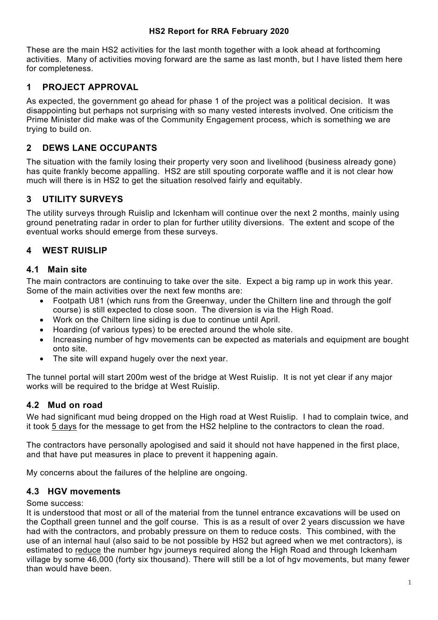#### **HS2 Report for RRA February 2020**

These are the main HS2 activities for the last month together with a look ahead at forthcoming activities. Many of activities moving forward are the same as last month, but I have listed them here for completeness.

# **1 PROJECT APPROVAL**

As expected, the government go ahead for phase 1 of the project was a political decision. It was disappointing but perhaps not surprising with so many vested interests involved. One criticism the Prime Minister did make was of the Community Engagement process, which is something we are trying to build on.

# **2 DEWS LANE OCCUPANTS**

The situation with the family losing their property very soon and livelihood (business already gone) has quite frankly become appalling. HS2 are still spouting corporate waffle and it is not clear how much will there is in HS2 to get the situation resolved fairly and equitably.

# **3 UTILITY SURVEYS**

The utility surveys through Ruislip and Ickenham will continue over the next 2 months, mainly using ground penetrating radar in order to plan for further utility diversions. The extent and scope of the eventual works should emerge from these surveys.

# **4 WEST RUISLIP**

#### **4.1 Main site**

The main contractors are continuing to take over the site. Expect a big ramp up in work this year. Some of the main activities over the next few months are:

- Footpath U81 (which runs from the Greenway, under the Chiltern line and through the golf course) is still expected to close soon. The diversion is via the High Road.
- Work on the Chiltern line siding is due to continue until April.
- Hoarding (of various types) to be erected around the whole site.
- Increasing number of hgv movements can be expected as materials and equipment are bought onto site.
- The site will expand hugely over the next year.

The tunnel portal will start 200m west of the bridge at West Ruislip. It is not yet clear if any major works will be required to the bridge at West Ruislip.

# **4.2 Mud on road**

We had significant mud being dropped on the High road at West Ruislip. I had to complain twice, and it took 5 days for the message to get from the HS2 helpline to the contractors to clean the road.

The contractors have personally apologised and said it should not have happened in the first place, and that have put measures in place to prevent it happening again.

My concerns about the failures of the helpline are ongoing.

# **4.3 HGV movements**

#### Some success:

It is understood that most or all of the material from the tunnel entrance excavations will be used on the Copthall green tunnel and the golf course. This is as a result of over 2 years discussion we have had with the contractors, and probably pressure on them to reduce costs. This combined, with the use of an internal haul (also said to be not possible by HS2 but agreed when we met contractors), is estimated to reduce the number hgv journeys required along the High Road and through Ickenham village by some 46,000 (forty six thousand). There will still be a lot of hgv movements, but many fewer than would have been.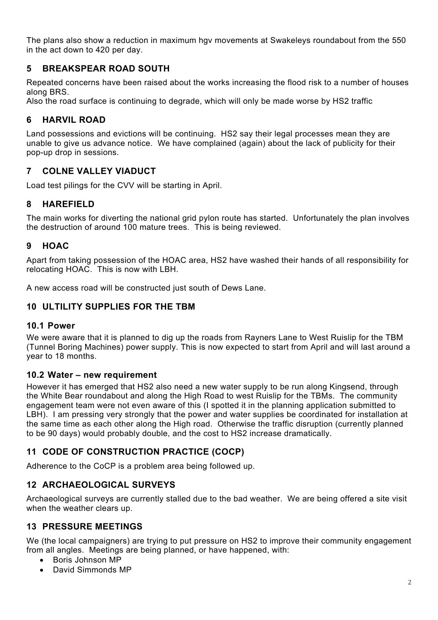The plans also show a reduction in maximum hgv movements at Swakeleys roundabout from the 550 in the act down to 420 per day.

# **5 BREAKSPEAR ROAD SOUTH**

Repeated concerns have been raised about the works increasing the flood risk to a number of houses along BRS.

Also the road surface is continuing to degrade, which will only be made worse by HS2 traffic

# **6 HARVIL ROAD**

Land possessions and evictions will be continuing. HS2 say their legal processes mean they are unable to give us advance notice. We have complained (again) about the lack of publicity for their pop-up drop in sessions.

### **7 COLNE VALLEY VIADUCT**

Load test pilings for the CVV will be starting in April.

# **8 HAREFIELD**

The main works for diverting the national grid pylon route has started. Unfortunately the plan involves the destruction of around 100 mature trees. This is being reviewed.

### **9 HOAC**

Apart from taking possession of the HOAC area, HS2 have washed their hands of all responsibility for relocating HOAC. This is now with LBH.

A new access road will be constructed just south of Dews Lane.

## **10 ULTILITY SUPPLIES FOR THE TBM**

#### **10.1 Power**

We were aware that it is planned to dig up the roads from Rayners Lane to West Ruislip for the TBM (Tunnel Boring Machines) power supply. This is now expected to start from April and will last around a year to 18 months.

#### **10.2 Water – new requirement**

However it has emerged that HS2 also need a new water supply to be run along Kingsend, through the White Bear roundabout and along the High Road to west Ruislip for the TBMs. The community engagement team were not even aware of this (I spotted it in the planning application submitted to LBH). I am pressing very strongly that the power and water supplies be coordinated for installation at the same time as each other along the High road. Otherwise the traffic disruption (currently planned to be 90 days) would probably double, and the cost to HS2 increase dramatically.

# **11 CODE OF CONSTRUCTION PRACTICE (COCP)**

Adherence to the CoCP is a problem area being followed up.

# **12 ARCHAEOLOGICAL SURVEYS**

Archaeological surveys are currently stalled due to the bad weather. We are being offered a site visit when the weather clears up.

#### **13 PRESSURE MEETINGS**

We (the local campaigners) are trying to put pressure on HS2 to improve their community engagement from all angles. Meetings are being planned, or have happened, with:

- Boris Johnson MP
- David Simmonds MP